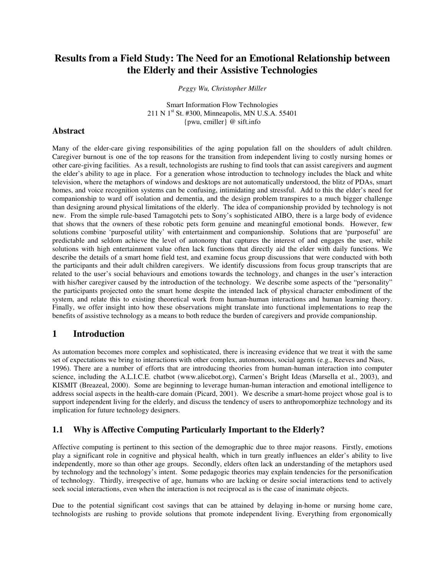# **Results from a Field Study: The Need for an Emotional Relationship between the Elderly and their Assistive Technologies**

*Peggy Wu, Christopher Miller* 

Smart Information Flow Technologies 211 N  $1<sup>st</sup>$  St. #300, Minneapolis, MN U.S.A. 55401 {pwu, cmiller} @ sift.info

#### **Abstract**

Many of the elder-care giving responsibilities of the aging population fall on the shoulders of adult children. Caregiver burnout is one of the top reasons for the transition from independent living to costly nursing homes or other care-giving facilities. As a result, technologists are rushing to find tools that can assist caregivers and augment the elder's ability to age in place. For a generation whose introduction to technology includes the black and white television, where the metaphors of windows and desktops are not automatically understood, the blitz of PDAs, smart homes, and voice recognition systems can be confusing, intimidating and stressful. Add to this the elder's need for companionship to ward off isolation and dementia, and the design problem transpires to a much bigger challenge than designing around physical limitations of the elderly. The idea of companionship provided by technology is not new. From the simple rule-based Tamagotchi pets to Sony's sophisticated AIBO, there is a large body of evidence that shows that the owners of these robotic pets form genuine and meaningful emotional bonds. However, few solutions combine 'purposeful utility' with entertainment and companionship. Solutions that are 'purposeful' are predictable and seldom achieve the level of autonomy that captures the interest of and engages the user, while solutions with high entertainment value often lack functions that directly aid the elder with daily functions. We describe the details of a smart home field test, and examine focus group discussions that were conducted with both the participants and their adult children caregivers. We identify discussions from focus group transcripts that are related to the user's social behaviours and emotions towards the technology, and changes in the user's interaction with his/her caregiver caused by the introduction of the technology. We describe some aspects of the "personality" the participants projected onto the smart home despite the intended lack of physical character embodiment of the system, and relate this to existing theoretical work from human-human interactions and human learning theory. Finally, we offer insight into how these observations might translate into functional implementations to reap the benefits of assistive technology as a means to both reduce the burden of caregivers and provide companionship.

## **1 Introduction**

As automation becomes more complex and sophisticated, there is increasing evidence that we treat it with the same set of expectations we bring to interactions with other complex, autonomous, social agents (e.g., Reeves and Nass, 1996). There are a number of efforts that are introducing theories from human-human interaction into computer science, including the A.L.I.C.E. chatbot (www.alicebot.org), Carmen's Bright Ideas (Marsella et al., 2003), and KISMIT (Breazeal, 2000). Some are beginning to leverage human-human interaction and emotional intelligence to address social aspects in the health-care domain (Picard, 2001). We describe a smart-home project whose goal is to support independent living for the elderly, and discuss the tendency of users to anthropomorphize technology and its implication for future technology designers.

## **1.1 Why is Affective Computing Particularly Important to the Elderly?**

Affective computing is pertinent to this section of the demographic due to three major reasons. Firstly, emotions play a significant role in cognitive and physical health, which in turn greatly influences an elder's ability to live independently, more so than other age groups. Secondly, elders often lack an understanding of the metaphors used by technology and the technology's intent. Some pedagogic theories may explain tendencies for the personification of technology. Thirdly, irrespective of age, humans who are lacking or desire social interactions tend to actively seek social interactions, even when the interaction is not reciprocal as is the case of inanimate objects.

Due to the potential significant cost savings that can be attained by delaying in-home or nursing home care, technologists are rushing to provide solutions that promote independent living. Everything from ergonomically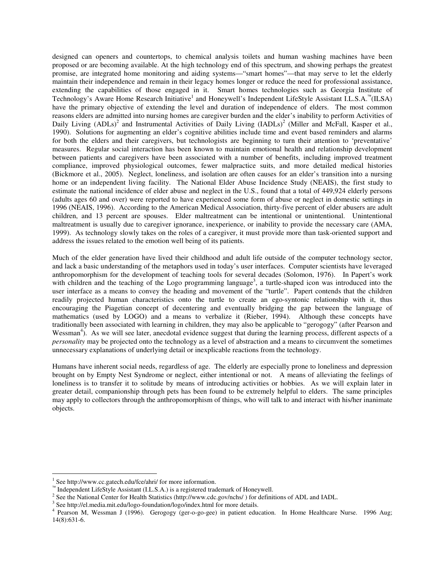designed can openers and countertops, to chemical analysis toilets and human washing machines have been proposed or are becoming available. At the high technology end of this spectrum, and showing perhaps the greatest promise, are integrated home monitoring and aiding systems—"smart homes"—that may serve to let the elderly maintain their independence and remain in their legacy homes longer or reduce the need for professional assistance, extending the capabilities of those engaged in it. Smart homes technologies such as Georgia Institute of Technology's Aware Home Research Initiative<sup>1</sup> and Honeywell's Independent LifeStyle Assistant I.L.S.A.<sup>™</sup>(ILSA) have the primary objective of extending the level and duration of independence of elders. The most common reasons elders are admitted into nursing homes are caregiver burden and the elder's inability to perform Activities of Daily Living  $(ADLs)^2$  and Instrumental Activities of Daily Living  $(IADLs)^2$  (Miller and McFall, Kasper et al., 1990). Solutions for augmenting an elder's cognitive abilities include time and event based reminders and alarms for both the elders and their caregivers, but technologists are beginning to turn their attention to 'preventative' measures. Regular social interaction has been known to maintain emotional health and relationship development between patients and caregivers have been associated with a number of benefits, including improved treatment compliance, improved physiological outcomes, fewer malpractice suits, and more detailed medical histories (Bickmore et al., 2005). Neglect, loneliness, and isolation are often causes for an elder's transition into a nursing home or an independent living facility. The National Elder Abuse Incidence Study (NEAIS), the first study to estimate the national incidence of elder abuse and neglect in the U.S., found that a total of 449,924 elderly persons (adults ages 60 and over) were reported to have experienced some form of abuse or neglect in domestic settings in 1996 (NEAIS, 1996). According to the American Medical Association, thirty-five percent of elder abusers are adult children, and 13 percent are spouses. Elder maltreatment can be intentional or unintentional. Unintentional maltreatment is usually due to caregiver ignorance, inexperience, or inability to provide the necessary care (AMA, 1999). As technology slowly takes on the roles of a caregiver, it must provide more than task-oriented support and address the issues related to the emotion well being of its patients.

Much of the elder generation have lived their childhood and adult life outside of the computer technology sector, and lack a basic understanding of the metaphors used in today's user interfaces. Computer scientists have leveraged anthropomorphism for the development of teaching tools for several decades (Solomon, 1976). In Papert's work with children and the teaching of the Logo programming language<sup>3</sup>, a turtle-shaped icon was introduced into the user interface as a means to convey the heading and movement of the "turtle". Papert contends that the children readily projected human characteristics onto the turtle to create an ego-syntonic relationship with it, thus encouraging the Piagetian concept of decentering and eventually bridging the gap between the language of mathematics (used by LOGO) and a means to verbalize it (Rieber, 1994). Although these concepts have traditionally been associated with learning in children, they may also be applicable to "gerogogy" (after Pearson and Wessman<sup>4</sup>). As we will see later, anecdotal evidence suggest that during the learning process, different aspects of a *personality* may be projected onto the technology as a level of abstraction and a means to circumvent the sometimes unnecessary explanations of underlying detail or inexplicable reactions from the technology.

Humans have inherent social needs, regardless of age. The elderly are especially prone to loneliness and depression brought on by Empty Nest Syndrome or neglect, either intentional or not. A means of alleviating the feelings of loneliness is to transfer it to solitude by means of introducing activities or hobbies. As we will explain later in greater detail, companionship through pets has been found to be extremely helpful to elders. The same principles may apply to collectors through the anthropomorphism of things, who will talk to and interact with his/her inanimate objects.

 $\overline{a}$ 

<sup>&</sup>lt;sup>1</sup> See http://www.cc.gatech.edu/fce/ahri/ for more information.

TM Independent LifeStyle Assistant (I.L.S.A.) is a registered trademark of Honeywell.

<sup>&</sup>lt;sup>2</sup> See the National Center for Health Statistics (http://www.cdc.gov/nchs/) for definitions of ADL and IADL.

<sup>&</sup>lt;sup>3</sup> See http://el.media.mit.edu/logo-foundation/logo/index.html for more details.

<sup>4</sup> Pearson M, Wessman J (1996). Gerogogy (ger-o-go-gee) in patient education. In Home Healthcare Nurse. 1996 Aug; 14(8):631-6.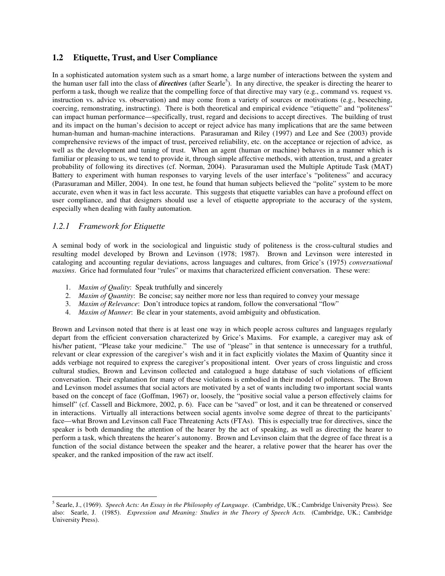#### **1.2 Etiquette, Trust, and User Compliance**

In a sophisticated automation system such as a smart home, a large number of interactions between the system and the human user fall into the class of *directives* (after Searle<sup>5</sup>). In any directive, the speaker is directing the hearer to perform a task, though we realize that the compelling force of that directive may vary (e.g., command vs. request vs. instruction vs. advice vs. observation) and may come from a variety of sources or motivations (e.g., beseeching, coercing, remonstrating, instructing). There is both theoretical and empirical evidence "etiquette" and "politeness" can impact human performance—specifically, trust, regard and decisions to accept directives. The building of trust and its impact on the human's decision to accept or reject advice has many implications that are the same between human-human and human-machine interactions. Parasuraman and Riley (1997) and Lee and See (2003) provide comprehensive reviews of the impact of trust, perceived reliability, etc. on the acceptance or rejection of advice, as well as the development and tuning of trust. When an agent (human or machine) behaves in a manner which is familiar or pleasing to us, we tend to provide it, through simple affective methods, with attention, trust, and a greater probability of following its directives (cf. Norman, 2004). Parasuraman used the Multiple Aptitude Task (MAT) Battery to experiment with human responses to varying levels of the user interface's "politeness" and accuracy (Parasuraman and Miller, 2004). In one test, he found that human subjects believed the "polite" system to be more accurate, even when it was in fact less accurate. This suggests that etiquette variables can have a profound effect on user compliance, and that designers should use a level of etiquette appropriate to the accuracy of the system, especially when dealing with faulty automation.

#### *1.2.1 Framework for Etiquette*

A seminal body of work in the sociological and linguistic study of politeness is the cross-cultural studies and resulting model developed by Brown and Levinson (1978; 1987). Brown and Levinson were interested in cataloging and accounting regular deviations, across languages and cultures, from Grice's (1975) *conversational maxims*. Grice had formulated four "rules" or maxims that characterized efficient conversation. These were:

- 1. *Maxim of Quality*: Speak truthfully and sincerely
- 2. *Maxim of Quantity*: Be concise; say neither more nor less than required to convey your message
- 3. *Maxim of Relevance*: Don't introduce topics at random, follow the conversational "flow"
- 4. *Maxim of Manner*: Be clear in your statements, avoid ambiguity and obfustication.

Brown and Levinson noted that there is at least one way in which people across cultures and languages regularly depart from the efficient conversation characterized by Grice's Maxims. For example, a caregiver may ask of his/her patient, "Please take your medicine." The use of "please" in that sentence is unnecessary for a truthful, relevant or clear expression of the caregiver's wish and it in fact explicitly violates the Maxim of Quantity since it adds verbiage not required to express the caregiver's propositional intent. Over years of cross linguistic and cross cultural studies, Brown and Levinson collected and catalogued a huge database of such violations of efficient conversation. Their explanation for many of these violations is embodied in their model of politeness. The Brown and Levinson model assumes that social actors are motivated by a set of wants including two important social wants based on the concept of face (Goffman, 1967) or, loosely, the "positive social value a person effectively claims for himself" (cf. Cassell and Bickmore, 2002, p. 6). Face can be "saved" or lost, and it can be threatened or conserved in interactions. Virtually all interactions between social agents involve some degree of threat to the participants' face—what Brown and Levinson call Face Threatening Acts (FTAs). This is especially true for directives, since the speaker is both demanding the attention of the hearer by the act of speaking, as well as directing the hearer to perform a task, which threatens the hearer's autonomy. Brown and Levinson claim that the degree of face threat is a function of the social distance between the speaker and the hearer, a relative power that the hearer has over the speaker, and the ranked imposition of the raw act itself.

 $\overline{a}$ 5 Searle, J., (1969). *Speech Acts: An Essay in the Philosophy of Language*. (Cambridge, UK.; Cambridge University Press). See also: Searle, J. (1985). *Expression and Meaning: Studies in the Theory of Speech Acts.* (Cambridge, UK.; Cambridge University Press).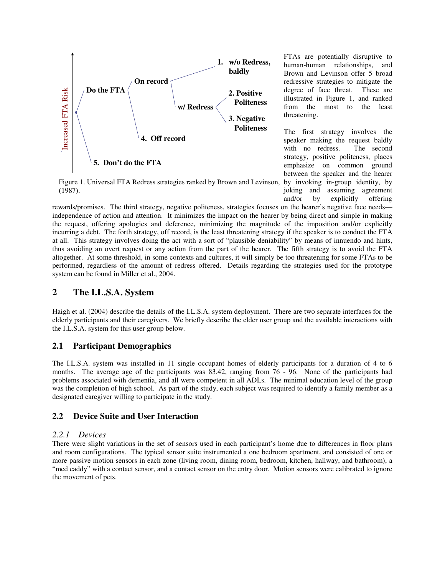

Figure 1. Universal FTA Redress strategies ranked by Brown and Levinson, (1987).

FTAs are potentially disruptive to human-human relationships, and Brown and Levinson offer 5 broad redressive strategies to mitigate the degree of face threat. These are illustrated in Figure 1, and ranked from the most to the least threatening.

The first strategy involves the speaker making the request baldly with no redress. The second strategy, positive politeness, places emphasize on common ground between the speaker and the hearer by invoking in-group identity, by joking and assuming agreement and/or by explicitly offering

rewards/promises. The third strategy, negative politeness, strategies focuses on the hearer's negative face needs independence of action and attention. It minimizes the impact on the hearer by being direct and simple in making the request, offering apologies and deference, minimizing the magnitude of the imposition and/or explicitly incurring a debt. The forth strategy, off record, is the least threatening strategy if the speaker is to conduct the FTA at all. This strategy involves doing the act with a sort of "plausible deniability" by means of innuendo and hints, thus avoiding an overt request or any action from the part of the hearer. The fifth strategy is to avoid the FTA altogether. At some threshold, in some contexts and cultures, it will simply be too threatening for some FTAs to be performed, regardless of the amount of redress offered. Details regarding the strategies used for the prototype system can be found in Miller et al., 2004.

## **2 The I.L.S.A. System**

Haigh et al. (2004) describe the details of the I.L.S.A. system deployment. There are two separate interfaces for the elderly participants and their caregivers. We briefly describe the elder user group and the available interactions with the I.L.S.A. system for this user group below.

## **2.1 Participant Demographics**

The I.L.S.A. system was installed in 11 single occupant homes of elderly participants for a duration of 4 to 6 months. The average age of the participants was 83.42, ranging from 76 - 96. None of the participants had problems associated with dementia, and all were competent in all ADLs. The minimal education level of the group was the completion of high school. As part of the study, each subject was required to identify a family member as a designated caregiver willing to participate in the study.

## **2.2 Device Suite and User Interaction**

#### *2.2.1 Devices*

There were slight variations in the set of sensors used in each participant's home due to differences in floor plans and room configurations. The typical sensor suite instrumented a one bedroom apartment, and consisted of one or more passive motion sensors in each zone (living room, dining room, bedroom, kitchen, hallway, and bathroom), a "med caddy" with a contact sensor, and a contact sensor on the entry door. Motion sensors were calibrated to ignore the movement of pets.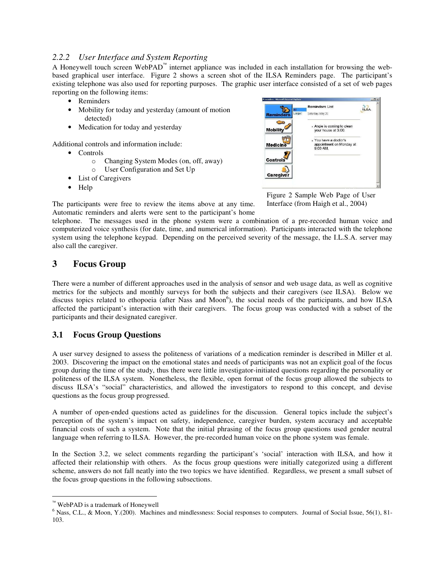#### *2.2.2 User Interface and System Reporting*

A Honeywell touch screen WebPAD<sup>™</sup> internet appliance was included in each installation for browsing the webbased graphical user interface. Figure 2 shows a screen shot of the ILSA Reminders page. The participant's existing telephone was also used for reporting purposes. The graphic user interface consisted of a set of web pages reporting on the following items:

- Reminders
- Mobility for today and yesterday (amount of motion detected)
- Medication for today and yesterday

Additional controls and information include:

- Controls
	- o Changing System Modes (on, off, away) o User Configuration and Set Up
- List of Caregivers
- Help



Figure 2 Sample Web Page of User Interface (from Haigh et al., 2004)

The participants were free to review the items above at any time. Automatic reminders and alerts were sent to the participant's home

telephone. The messages used in the phone system were a combination of a pre-recorded human voice and computerized voice synthesis (for date, time, and numerical information). Participants interacted with the telephone system using the telephone keypad. Depending on the perceived severity of the message, the I.L.S.A. server may also call the caregiver.

## **3 Focus Group**

There were a number of different approaches used in the analysis of sensor and web usage data, as well as cognitive metrics for the subjects and monthly surveys for both the subjects and their caregivers (see ILSA). Below we discuss topics related to ethopoeia (after Nass and Moon<sup>6</sup>), the social needs of the participants, and how ILSA affected the participant's interaction with their caregivers. The focus group was conducted with a subset of the participants and their designated caregiver.

#### **3.1 Focus Group Questions**

A user survey designed to assess the politeness of variations of a medication reminder is described in Miller et al. 2003. Discovering the impact on the emotional states and needs of participants was not an explicit goal of the focus group during the time of the study, thus there were little investigator-initiated questions regarding the personality or politeness of the ILSA system. Nonetheless, the flexible, open format of the focus group allowed the subjects to discuss ILSA's "social" characteristics, and allowed the investigators to respond to this concept, and devise questions as the focus group progressed.

A number of open-ended questions acted as guidelines for the discussion. General topics include the subject's perception of the system's impact on safety, independence, caregiver burden, system accuracy and acceptable financial costs of such a system. Note that the initial phrasing of the focus group questions used gender neutral language when referring to ILSA. However, the pre-recorded human voice on the phone system was female.

In the Section 3.2, we select comments regarding the participant's 'social' interaction with ILSA, and how it affected their relationship with others. As the focus group questions were initially categorized using a different scheme, answers do not fall neatly into the two topics we have identified. Regardless, we present a small subset of the focus group questions in the following subsections.

<sup>™&</sup>lt;br>WebPAD is a trademark of Honeywell

<sup>&</sup>lt;sup>6</sup> Nass, C.L., & Moon, Y.(200). Machines and mindlessness: Social responses to computers. Journal of Social Issue, 56(1), 81-103.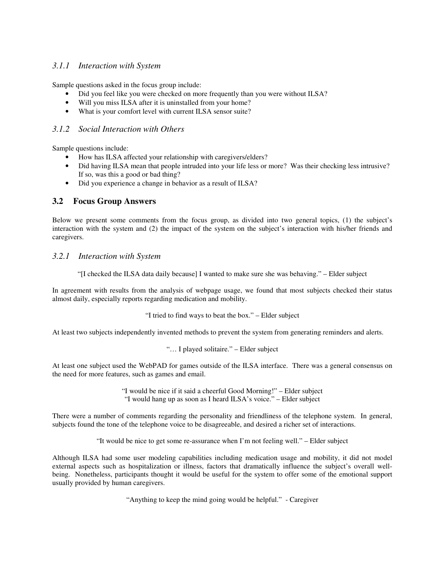### *3.1.1 Interaction with System*

Sample questions asked in the focus group include:

- Did you feel like you were checked on more frequently than you were without ILSA?
- Will you miss ILSA after it is uninstalled from your home?
- What is your comfort level with current ILSA sensor suite?

#### *3.1.2 Social Interaction with Others*

Sample questions include:

- How has ILSA affected your relationship with caregivers/elders?
- Did having ILSA mean that people intruded into your life less or more? Was their checking less intrusive? If so, was this a good or bad thing?
- Did you experience a change in behavior as a result of ILSA?

#### **3.2 Focus Group Answers**

Below we present some comments from the focus group, as divided into two general topics, (1) the subject's interaction with the system and (2) the impact of the system on the subject's interaction with his/her friends and caregivers.

#### *3.2.1 Interaction with System*

"[I checked the ILSA data daily because] I wanted to make sure she was behaving." – Elder subject

In agreement with results from the analysis of webpage usage, we found that most subjects checked their status almost daily, especially reports regarding medication and mobility.

"I tried to find ways to beat the box." – Elder subject

At least two subjects independently invented methods to prevent the system from generating reminders and alerts.

"… I played solitaire." – Elder subject

At least one subject used the WebPAD for games outside of the ILSA interface. There was a general consensus on the need for more features, such as games and email.

> "I would be nice if it said a cheerful Good Morning!" – Elder subject "I would hang up as soon as I heard ILSA's voice." – Elder subject

There were a number of comments regarding the personality and friendliness of the telephone system. In general, subjects found the tone of the telephone voice to be disagreeable, and desired a richer set of interactions.

"It would be nice to get some re-assurance when I'm not feeling well." – Elder subject

Although ILSA had some user modeling capabilities including medication usage and mobility, it did not model external aspects such as hospitalization or illness, factors that dramatically influence the subject's overall wellbeing. Nonetheless, participants thought it would be useful for the system to offer some of the emotional support usually provided by human caregivers.

"Anything to keep the mind going would be helpful." - Caregiver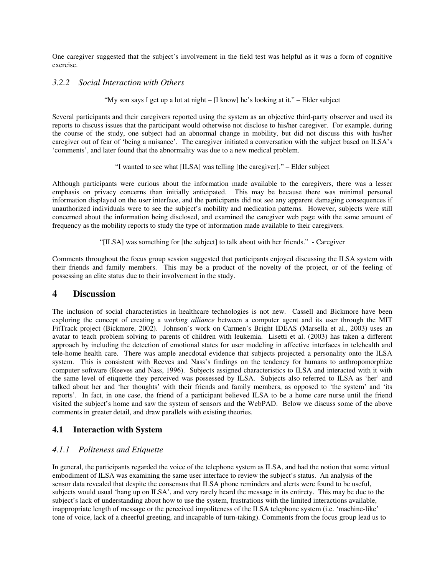One caregiver suggested that the subject's involvement in the field test was helpful as it was a form of cognitive exercise.

#### *3.2.2 Social Interaction with Others*

"My son says I get up a lot at night – [I know] he's looking at it." – Elder subject

Several participants and their caregivers reported using the system as an objective third-party observer and used its reports to discuss issues that the participant would otherwise not disclose to his/her caregiver. For example, during the course of the study, one subject had an abnormal change in mobility, but did not discuss this with his/her caregiver out of fear of 'being a nuisance'. The caregiver initiated a conversation with the subject based on ILSA's 'comments', and later found that the abnormality was due to a new medical problem.

"I wanted to see what [ILSA] was telling [the caregiver]." – Elder subject

Although participants were curious about the information made available to the caregivers, there was a lesser emphasis on privacy concerns than initially anticipated. This may be because there was minimal personal information displayed on the user interface, and the participants did not see any apparent damaging consequences if unauthorized individuals were to see the subject's mobility and medication patterns. However, subjects were still concerned about the information being disclosed, and examined the caregiver web page with the same amount of frequency as the mobility reports to study the type of information made available to their caregivers.

"[ILSA] was something for [the subject] to talk about with her friends." - Caregiver

Comments throughout the focus group session suggested that participants enjoyed discussing the ILSA system with their friends and family members. This may be a product of the novelty of the project, or of the feeling of possessing an elite status due to their involvement in the study.

#### **4 Discussion**

The inclusion of social characteristics in healthcare technologies is not new. Cassell and Bickmore have been exploring the concept of creating a *working alliance* between a computer agent and its user through the MIT FitTrack project (Bickmore, 2002). Johnson's work on Carmen's Bright IDEAS (Marsella et al., 2003) uses an avatar to teach problem solving to parents of children with leukemia. Lisetti et al. (2003) has taken a different approach by including the detection of emotional states for user modeling in affective interfaces in telehealth and tele-home health care. There was ample anecdotal evidence that subjects projected a personality onto the ILSA system. This is consistent with Reeves and Nass's findings on the tendency for humans to anthropomorphize computer software (Reeves and Nass, 1996). Subjects assigned characteristics to ILSA and interacted with it with the same level of etiquette they perceived was possessed by ILSA. Subjects also referred to ILSA as 'her' and talked about her and 'her thoughts' with their friends and family members, as opposed to 'the system' and 'its reports'. In fact, in one case, the friend of a participant believed ILSA to be a home care nurse until the friend visited the subject's home and saw the system of sensors and the WebPAD. Below we discuss some of the above comments in greater detail, and draw parallels with existing theories.

#### **4.1 Interaction with System**

#### *4.1.1 Politeness and Etiquette*

In general, the participants regarded the voice of the telephone system as ILSA, and had the notion that some virtual embodiment of ILSA was examining the same user interface to review the subject's status. An analysis of the sensor data revealed that despite the consensus that ILSA phone reminders and alerts were found to be useful, subjects would usual 'hang up on ILSA', and very rarely heard the message in its entirety. This may be due to the subject's lack of understanding about how to use the system, frustrations with the limited interactions available, inappropriate length of message or the perceived impoliteness of the ILSA telephone system (i.e. 'machine-like' tone of voice, lack of a cheerful greeting, and incapable of turn-taking). Comments from the focus group lead us to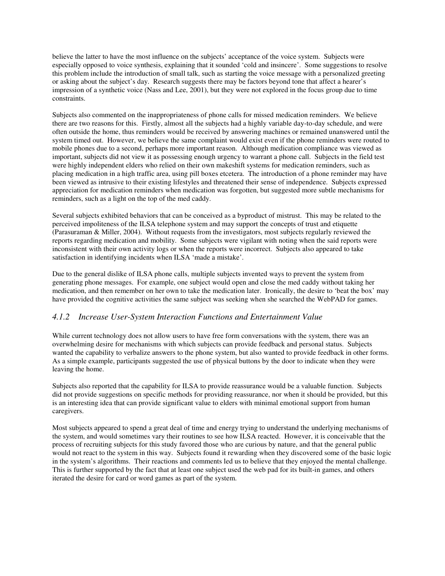believe the latter to have the most influence on the subjects' acceptance of the voice system. Subjects were especially opposed to voice synthesis, explaining that it sounded 'cold and insincere'. Some suggestions to resolve this problem include the introduction of small talk, such as starting the voice message with a personalized greeting or asking about the subject's day. Research suggests there may be factors beyond tone that affect a hearer's impression of a synthetic voice (Nass and Lee, 2001), but they were not explored in the focus group due to time constraints.

Subjects also commented on the inappropriateness of phone calls for missed medication reminders. We believe there are two reasons for this. Firstly, almost all the subjects had a highly variable day-to-day schedule, and were often outside the home, thus reminders would be received by answering machines or remained unanswered until the system timed out. However, we believe the same complaint would exist even if the phone reminders were routed to mobile phones due to a second, perhaps more important reason. Although medication compliance was viewed as important, subjects did not view it as possessing enough urgency to warrant a phone call. Subjects in the field test were highly independent elders who relied on their own makeshift systems for medication reminders, such as placing medication in a high traffic area, using pill boxes etcetera. The introduction of a phone reminder may have been viewed as intrusive to their existing lifestyles and threatened their sense of independence. Subjects expressed appreciation for medication reminders when medication was forgotten, but suggested more subtle mechanisms for reminders, such as a light on the top of the med caddy.

Several subjects exhibited behaviors that can be conceived as a byproduct of mistrust. This may be related to the perceived impoliteness of the ILSA telephone system and may support the concepts of trust and etiquette (Parasuraman & Miller, 2004). Without requests from the investigators, most subjects regularly reviewed the reports regarding medication and mobility. Some subjects were vigilant with noting when the said reports were inconsistent with their own activity logs or when the reports were incorrect. Subjects also appeared to take satisfaction in identifying incidents when ILSA 'made a mistake'.

Due to the general dislike of ILSA phone calls, multiple subjects invented ways to prevent the system from generating phone messages. For example, one subject would open and close the med caddy without taking her medication, and then remember on her own to take the medication later. Ironically, the desire to 'beat the box' may have provided the cognitive activities the same subject was seeking when she searched the WebPAD for games.

#### *4.1.2 Increase User-System Interaction Functions and Entertainment Value*

While current technology does not allow users to have free form conversations with the system, there was an overwhelming desire for mechanisms with which subjects can provide feedback and personal status. Subjects wanted the capability to verbalize answers to the phone system, but also wanted to provide feedback in other forms. As a simple example, participants suggested the use of physical buttons by the door to indicate when they were leaving the home.

Subjects also reported that the capability for ILSA to provide reassurance would be a valuable function. Subjects did not provide suggestions on specific methods for providing reassurance, nor when it should be provided, but this is an interesting idea that can provide significant value to elders with minimal emotional support from human caregivers.

Most subjects appeared to spend a great deal of time and energy trying to understand the underlying mechanisms of the system, and would sometimes vary their routines to see how ILSA reacted. However, it is conceivable that the process of recruiting subjects for this study favored those who are curious by nature, and that the general public would not react to the system in this way. Subjects found it rewarding when they discovered some of the basic logic in the system's algorithms. Their reactions and comments led us to believe that they enjoyed the mental challenge. This is further supported by the fact that at least one subject used the web pad for its built-in games, and others iterated the desire for card or word games as part of the system.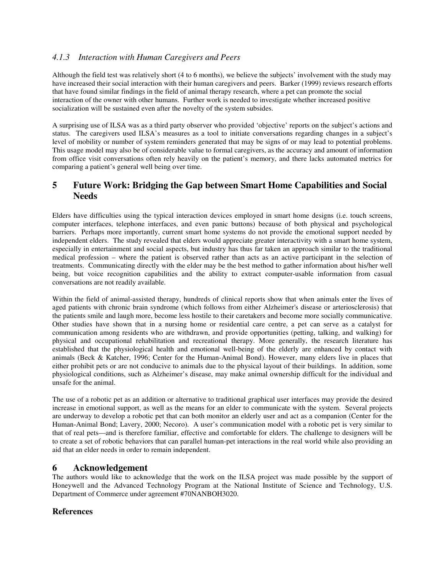#### *4.1.3 Interaction with Human Caregivers and Peers*

Although the field test was relatively short (4 to 6 months), we believe the subjects' involvement with the study may have increased their social interaction with their human caregivers and peers. Barker (1999) reviews research efforts that have found similar findings in the field of animal therapy research, where a pet can promote the social interaction of the owner with other humans. Further work is needed to investigate whether increased positive socialization will be sustained even after the novelty of the system subsides.

A surprising use of ILSA was as a third party observer who provided 'objective' reports on the subject's actions and status. The caregivers used ILSA's measures as a tool to initiate conversations regarding changes in a subject's level of mobility or number of system reminders generated that may be signs of or may lead to potential problems. This usage model may also be of considerable value to formal caregivers, as the accuracy and amount of information from office visit conversations often rely heavily on the patient's memory, and there lacks automated metrics for comparing a patient's general well being over time.

## **5 Future Work: Bridging the Gap between Smart Home Capabilities and Social Needs**

Elders have difficulties using the typical interaction devices employed in smart home designs (i.e. touch screens, computer interfaces, telephone interfaces, and even panic buttons) because of both physical and psychological barriers. Perhaps more importantly, current smart home systems do not provide the emotional support needed by independent elders. The study revealed that elders would appreciate greater interactivity with a smart home system, especially in entertainment and social aspects, but industry has thus far taken an approach similar to the traditional medical profession – where the patient is observed rather than acts as an active participant in the selection of treatments. Communicating directly with the elder may be the best method to gather information about his/her well being, but voice recognition capabilities and the ability to extract computer-usable information from casual conversations are not readily available.

Within the field of animal-assisted therapy, hundreds of clinical reports show that when animals enter the lives of aged patients with chronic brain syndrome (which follows from either Alzheimer's disease or arteriosclerosis) that the patients smile and laugh more, become less hostile to their caretakers and become more socially communicative. Other studies have shown that in a nursing home or residential care centre, a pet can serve as a catalyst for communication among residents who are withdrawn, and provide opportunities (petting, talking, and walking) for physical and occupational rehabilitation and recreational therapy. More generally, the research literature has established that the physiological health and emotional well-being of the elderly are enhanced by contact with animals (Beck & Katcher, 1996; Center for the Human-Animal Bond). However, many elders live in places that either prohibit pets or are not conducive to animals due to the physical layout of their buildings. In addition, some physiological conditions, such as Alzheimer's disease, may make animal ownership difficult for the individual and unsafe for the animal.

The use of a robotic pet as an addition or alternative to traditional graphical user interfaces may provide the desired increase in emotional support, as well as the means for an elder to communicate with the system. Several projects are underway to develop a robotic pet that can both monitor an elderly user and act as a companion (Center for the Human-Animal Bond; Lavery, 2000; Necoro). A user's communication model with a robotic pet is very similar to that of real pets—and is therefore familiar, effective and comfortable for elders. The challenge to designers will be to create a set of robotic behaviors that can parallel human-pet interactions in the real world while also providing an aid that an elder needs in order to remain independent.

## **6 Acknowledgement**

The authors would like to acknowledge that the work on the ILSA project was made possible by the support of Honeywell and the Advanced Technology Program at the National Institute of Science and Technology, U.S. Department of Commerce under agreement #70NANBOH3020.

## **References**